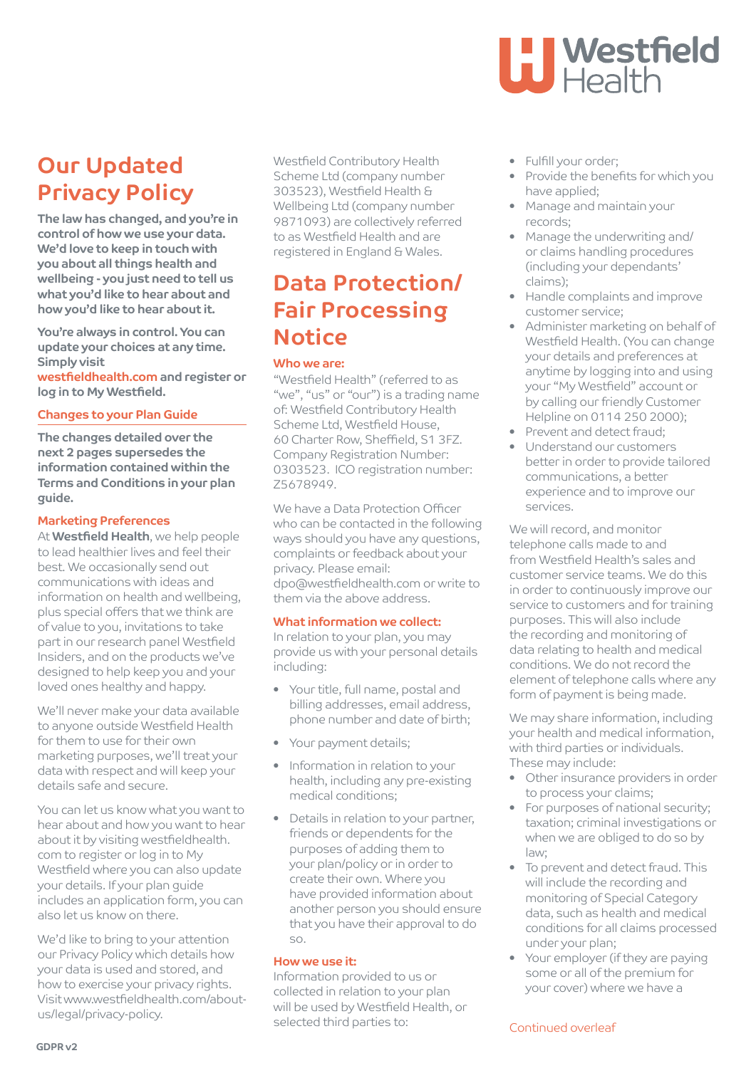# **Our Updated Privacy Policy**

**The law has changed, and you're in control of how we use your data. We'd love to keep in touch with you about all things health and wellbeing - you just need to tell us what you'd like to hear about and how you'd like to hear about it.**

**You're always in control. You can update your choices at any time. Simply visit**

**westfieldhealth.com and register or log in to My Westfield.** 

### **Changes to your Plan Guide**

The changes detailed over the next 2 pages supersedes the information contained within the Terms and Conditions in your plan guide.

### Marketing Preferences

At **Westfield Health**, we help people to lead healthier lives and feel their best. We occasionally send out communications with ideas and information on health and wellbeing, plus special offers that we think are of value to you, invitations to take part in our research panel Westfield Insiders, and on the products we've designed to help keep you and your loved ones healthy and happy.

We'll never make your data available to anyone outside Westfield Health for them to use for their own marketing purposes, we'll treat your data with respect and will keep your details safe and secure.

You can let us know what you want to hear about and how you want to hear about it by visiting westfieldhealth. com to register or log in to My Westfield where you can also update your details. If your plan guide includes an application form, you can also let us know on there.

We'd like to bring to your attention our Privacy Policy which details how your data is used and stored, and how to exercise your privacy rights. Visit www.westfieldhealth.com/aboutus/legal/privacy-policy.

Westfield Contributory Health Scheme Ltd (company number 303523), Westfield Health & Wellbeing Ltd (company number 9871093) are collectively referred to as Westfield Health and are registered in England & Wales.

## **Data Protection/ Fair Processing Notice**

### Who we are:

"Westfield Health" (referred to as "we", "us" or "our") is a trading name of: Westfield Contributory Health Scheme Ltd, Westfield House, 60 Charter Row, Sheffield, S1 3FZ. Company Registration Number: 0303523. ICO registration number: Z5678949.

We have a Data Protection Officer who can be contacted in the following ways should you have any questions, complaints or feedback about your privacy. Please email: dpo@westfieldhealth.com or write to them via the above address.

### What information we collect:

In relation to your plan, you may provide us with your personal details including:

- Your title, full name, postal and billing addresses, email address, phone number and date of birth;
- Your payment details;
- Information in relation to your health, including any pre-existing medical conditions;
- Details in relation to your partner, friends or dependents for the purposes of adding them to your plan/policy or in order to create their own. Where you have provided information about another person you should ensure that you have their approval to do so.

### How we use it:

Information provided to us or collected in relation to your plan will be used by Westfield Health, or selected third parties to:

## • Fulfill your order;

• Provide the benefits for which you have applied;

**LI Westfield<br>LI Health** 

- Manage and maintain your records;
- Manage the underwriting and/ or claims handling procedures (including your dependants' claims);
- Handle complaints and improve customer service;
- Administer marketing on behalf of Westfield Health. (You can change your details and preferences at anytime by logging into and using your "My Westfield" account or by calling our friendly Customer Helpline on 0114 250 2000);
- Prevent and detect fraud;
- Understand our customers better in order to provide tailored communications, a better experience and to improve our services.

We will record, and monitor telephone calls made to and from Westfield Health's sales and customer service teams. We do this in order to continuously improve our service to customers and for training purposes. This will also include the recording and monitoring of data relating to health and medical conditions. We do not record the element of telephone calls where any form of payment is being made.

We may share information, including your health and medical information, with third parties or individuals. These may include:

- Other insurance providers in order to process your claims;
- For purposes of national security; taxation; criminal investigations or when we are obliged to do so by  $l$ aw;
- To prevent and detect fraud. This will include the recording and monitoring of Special Category data, such as health and medical conditions for all claims processed under your plan;
- Your employer (if they are paying some or all of the premium for your cover) where we have a